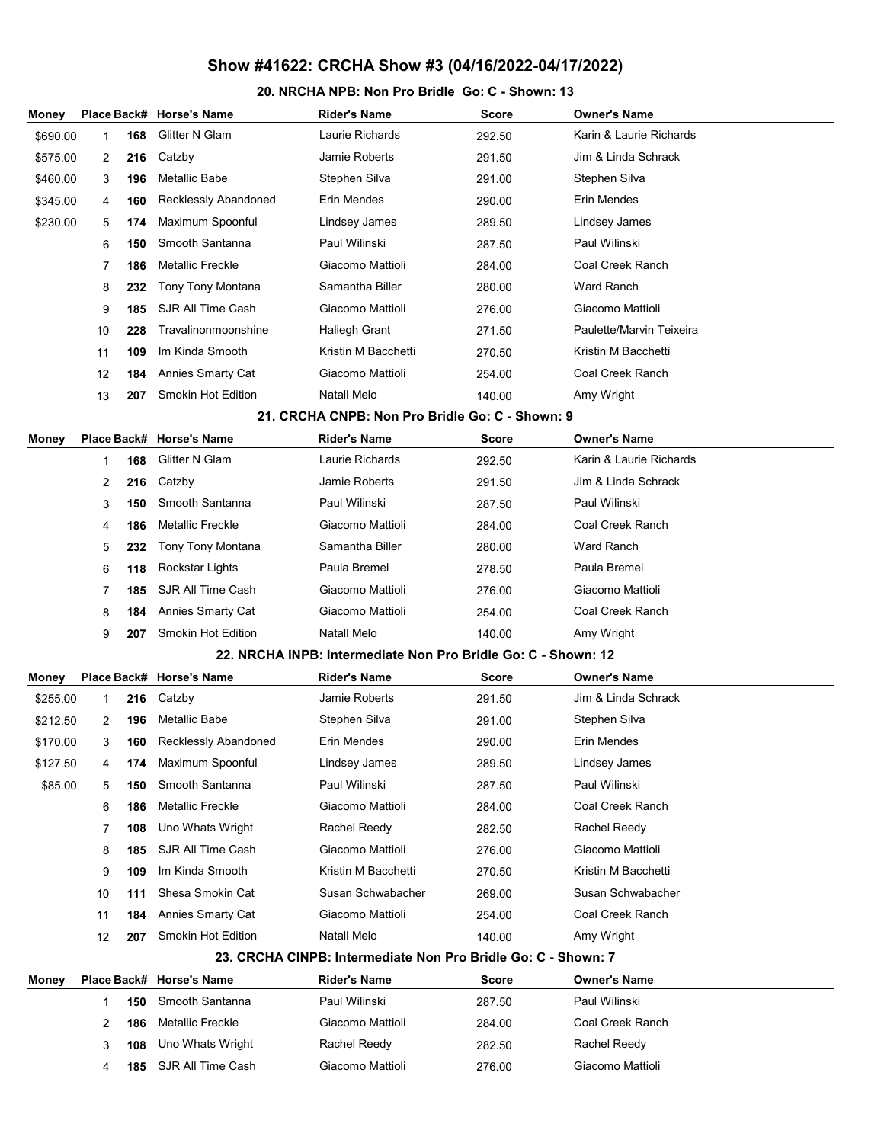#### 20. NRCHA NPB: Non Pro Bridle Go: C - Shown: 13

| Money    |             |     | Place Back# Horse's Name | <b>Rider's Name</b>                                           | <b>Score</b> | <b>Owner's Name</b>      |
|----------|-------------|-----|--------------------------|---------------------------------------------------------------|--------------|--------------------------|
| \$690.00 | 1           | 168 | Glitter N Glam           | Laurie Richards                                               | 292.50       | Karin & Laurie Richards  |
| \$575.00 | 2           | 216 | Catzby                   | Jamie Roberts                                                 | 291.50       | Jim & Linda Schrack      |
| \$460.00 | 3           | 196 | Metallic Babe            | Stephen Silva                                                 | 291.00       | Stephen Silva            |
| \$345.00 | 4           | 160 | Recklessly Abandoned     | Erin Mendes                                                   | 290.00       | Erin Mendes              |
| \$230.00 | 5           | 174 | Maximum Spoonful         | Lindsey James                                                 | 289.50       | Lindsey James            |
|          | 6           | 150 | Smooth Santanna          | Paul Wilinski                                                 | 287.50       | Paul Wilinski            |
|          | 7           | 186 | <b>Metallic Freckle</b>  | Giacomo Mattioli                                              | 284.00       | Coal Creek Ranch         |
|          | 8           | 232 | Tony Tony Montana        | Samantha Biller                                               | 280.00       | Ward Ranch               |
|          | 9           | 185 | SJR All Time Cash        | Giacomo Mattioli                                              | 276.00       | Giacomo Mattioli         |
|          | 10          | 228 | Travalinonmoonshine      | Haliegh Grant                                                 | 271.50       | Paulette/Marvin Teixeira |
|          | 11          | 109 | Im Kinda Smooth          | Kristin M Bacchetti                                           | 270.50       | Kristin M Bacchetti      |
|          | 12          | 184 | Annies Smarty Cat        | Giacomo Mattioli                                              | 254.00       | Coal Creek Ranch         |
|          | 13          | 207 | Smokin Hot Edition       | Natall Melo                                                   | 140.00       | Amy Wright               |
|          |             |     |                          | 21. CRCHA CNPB: Non Pro Bridle Go: C - Shown: 9               |              |                          |
| Money    |             |     | Place Back# Horse's Name | <b>Rider's Name</b>                                           | <b>Score</b> | <b>Owner's Name</b>      |
|          | 1           | 168 | Glitter N Glam           | Laurie Richards                                               | 292.50       | Karin & Laurie Richards  |
|          | 2           | 216 | Catzby                   | Jamie Roberts                                                 | 291.50       | Jim & Linda Schrack      |
|          | 3           | 150 | Smooth Santanna          | Paul Wilinski                                                 | 287.50       | Paul Wilinski            |
|          | 4           | 186 | <b>Metallic Freckle</b>  | Giacomo Mattioli                                              | 284.00       | Coal Creek Ranch         |
|          | 5           | 232 | Tony Tony Montana        | Samantha Biller                                               | 280.00       | Ward Ranch               |
|          | 6           | 118 | Rockstar Lights          | Paula Bremel                                                  | 278.50       | Paula Bremel             |
|          | 7           | 185 | SJR All Time Cash        | Giacomo Mattioli                                              | 276.00       | Giacomo Mattioli         |
|          | 8           | 184 | Annies Smarty Cat        | Giacomo Mattioli                                              | 254.00       | Coal Creek Ranch         |
|          | 9           | 207 | Smokin Hot Edition       | Natall Melo                                                   | 140.00       | Amy Wright               |
|          |             |     |                          | 22. NRCHA INPB: Intermediate Non Pro Bridle Go: C - Shown: 12 |              |                          |
| Money    | Place Back# |     | <b>Horse's Name</b>      | <b>Rider's Name</b>                                           | <b>Score</b> | <b>Owner's Name</b>      |
| \$255.00 | 1           | 216 | Catzby                   | Jamie Roberts                                                 | 291.50       | Jim & Linda Schrack      |
| \$212.50 | 2           | 196 | <b>Metallic Babe</b>     | Stephen Silva                                                 | 291.00       | Stephen Silva            |
| \$170.00 | 3           | 160 | Recklessly Abandoned     | Erin Mendes                                                   | 290.00       | Erin Mendes              |
| \$127.50 | 4           | 174 | Maximum Spoonful         | Lindsey James                                                 | 289.50       | Lindsey James            |
| \$85.00  | 5           | 150 | Smooth Santanna          | Paul Wilinski                                                 | 287.50       | Paul Wilinski            |
|          | 6           | 186 | <b>Metallic Freckle</b>  | Giacomo Mattioli                                              | 284.00       | Coal Creek Ranch         |
|          | 7           | 108 | Uno Whats Wright         | Rachel Reedy                                                  | 282.50       | Rachel Reedy             |
|          | 8           | 185 | SJR All Time Cash        | Giacomo Mattioli                                              | 276.00       | Giacomo Mattioli         |
|          | 9           | 109 | Im Kinda Smooth          | Kristin M Bacchetti                                           | 270.50       | Kristin M Bacchetti      |
|          | 10          | 111 | Shesa Smokin Cat         | Susan Schwabacher                                             | 269.00       | Susan Schwabacher        |
|          | 11          | 184 | Annies Smarty Cat        | Giacomo Mattioli                                              | 254.00       | Coal Creek Ranch         |
|          | 12          | 207 | Smokin Hot Edition       | Natall Melo                                                   | 140.00       | Amy Wright               |
|          |             |     |                          | 23. CRCHA CINPB: Intermediate Non Pro Bridle Go: C - Shown: 7 |              |                          |
| Money    |             |     | Place Back# Horse's Name | <b>Rider's Name</b>                                           | Score        | <b>Owner's Name</b>      |
|          | 1           | 150 | Smooth Santanna          | Paul Wilinski                                                 | 287.50       | Paul Wilinski            |
|          | 2           | 186 | <b>Metallic Freckle</b>  | Giacomo Mattioli                                              | 284.00       | Coal Creek Ranch         |
|          | 3           | 108 | Uno Whats Wright         | Rachel Reedy                                                  | 282.50       | Rachel Reedy             |
|          | 4           | 185 | SJR All Time Cash        | Giacomo Mattioli                                              | 276.00       | Giacomo Mattioli         |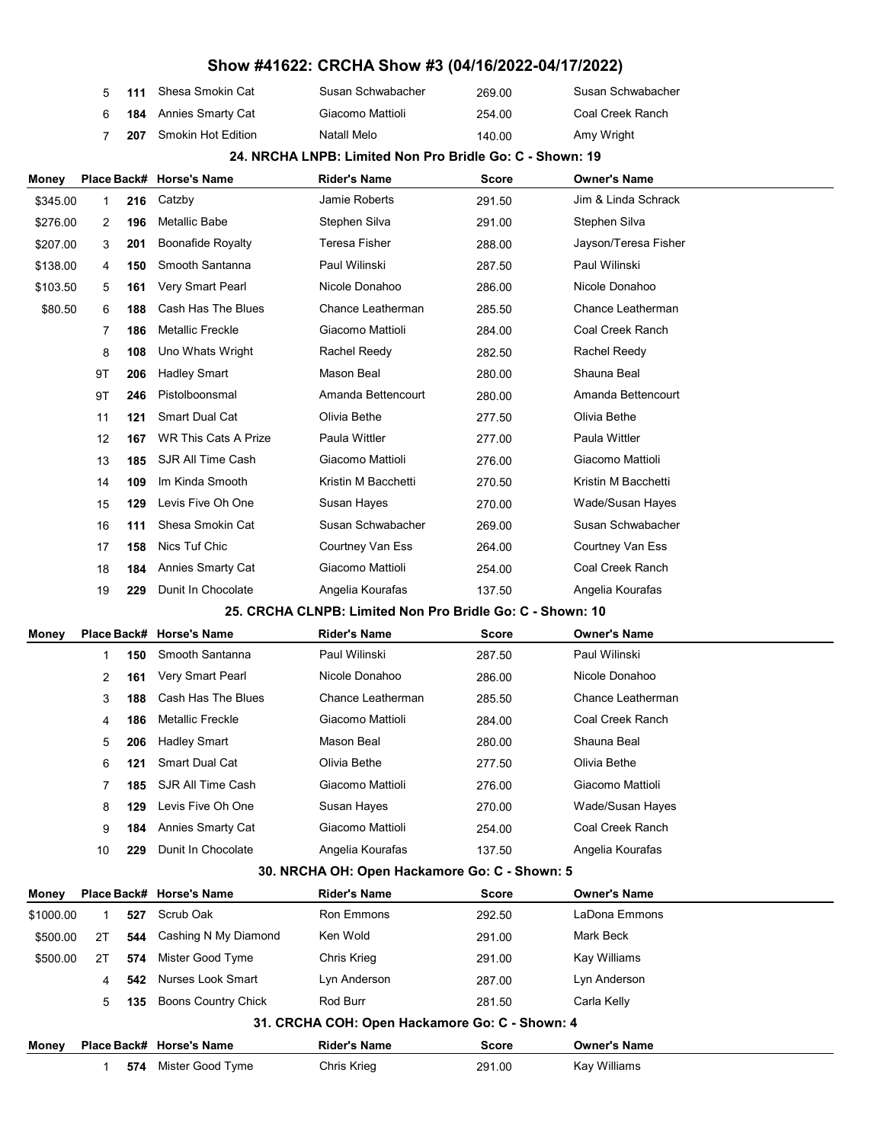|    | 5 111 Shesa Smokin Cat        | Susan Schwabacher | 269.00 | Susan Schwabacher |
|----|-------------------------------|-------------------|--------|-------------------|
| 6. | <b>184</b> Annies Smarty Cat  | Giacomo Mattioli  | 254.00 | Coal Creek Ranch  |
|    | <b>207</b> Smokin Hot Edition | Natall Melo       | 140.00 | Amy Wright        |

#### 24. NRCHA LNPB: Limited Non Pro Bridle Go: C - Shown: 19

| Money        |             |     | Place Back# Horse's Name    | Rider's Name                                              | Score        | <b>Owner's Name</b>  |
|--------------|-------------|-----|-----------------------------|-----------------------------------------------------------|--------------|----------------------|
| \$345.00     | 1           | 216 | Catzby                      | Jamie Roberts                                             | 291.50       | Jim & Linda Schrack  |
| \$276.00     | 2           | 196 | Metallic Babe               | Stephen Silva                                             | 291.00       | Stephen Silva        |
| \$207.00     | 3           | 201 | <b>Boonafide Royalty</b>    | Teresa Fisher                                             | 288.00       | Jayson/Teresa Fisher |
| \$138.00     | 4           | 150 | Smooth Santanna             | Paul Wilinski                                             | 287.50       | Paul Wilinski        |
| \$103.50     | 5           | 161 | Very Smart Pearl            | Nicole Donahoo                                            | 286.00       | Nicole Donahoo       |
| \$80.50      | 6           | 188 | Cash Has The Blues          | Chance Leatherman                                         | 285.50       | Chance Leatherman    |
|              | 7           | 186 | Metallic Freckle            | Giacomo Mattioli                                          | 284.00       | Coal Creek Ranch     |
|              | 8           | 108 | Uno Whats Wright            | Rachel Reedy                                              | 282.50       | Rachel Reedy         |
|              | 9T          | 206 | <b>Hadley Smart</b>         | Mason Beal                                                | 280.00       | Shauna Beal          |
|              | 9T          | 246 | Pistolboonsmal              | Amanda Bettencourt                                        | 280.00       | Amanda Bettencourt   |
|              | 11          | 121 | <b>Smart Dual Cat</b>       | Olivia Bethe                                              | 277.50       | Olivia Bethe         |
|              | 12          | 167 | <b>WR This Cats A Prize</b> | Paula Wittler                                             | 277.00       | Paula Wittler        |
|              | 13          | 185 | SJR All Time Cash           | Giacomo Mattioli                                          | 276.00       | Giacomo Mattioli     |
|              | 14          | 109 | Im Kinda Smooth             | Kristin M Bacchetti                                       | 270.50       | Kristin M Bacchetti  |
|              | 15          | 129 | Levis Five Oh One           | Susan Hayes                                               | 270.00       | Wade/Susan Hayes     |
|              | 16          | 111 | Shesa Smokin Cat            | Susan Schwabacher                                         | 269.00       | Susan Schwabacher    |
|              | 17          | 158 | Nics Tuf Chic               | Courtney Van Ess                                          | 264.00       | Courtney Van Ess     |
|              | 18          | 184 | Annies Smarty Cat           | Giacomo Mattioli                                          | 254.00       | Coal Creek Ranch     |
|              | 19          | 229 | Dunit In Chocolate          | Angelia Kourafas                                          | 137.50       | Angelia Kourafas     |
|              |             |     |                             | 25. CRCHA CLNPB: Limited Non Pro Bridle Go: C - Shown: 10 |              |                      |
| Money        | Place Back# |     | <b>Horse's Name</b>         | Rider's Name                                              | Score        | <b>Owner's Name</b>  |
|              | 1           | 150 | Smooth Santanna             | Paul Wilinski                                             | 287.50       | Paul Wilinski        |
|              | 2           | 161 | Very Smart Pearl            | Nicole Donahoo                                            | 286.00       | Nicole Donahoo       |
|              | 3           | 188 | Cash Has The Blues          | Chance Leatherman                                         | 285.50       | Chance Leatherman    |
|              | 4           | 186 | <b>Metallic Freckle</b>     | Giacomo Mattioli                                          | 284.00       | Coal Creek Ranch     |
|              | 5           | 206 | <b>Hadley Smart</b>         | Mason Beal                                                | 280.00       | Shauna Beal          |
|              | 6           | 121 | <b>Smart Dual Cat</b>       | Olivia Bethe                                              | 277.50       | Olivia Bethe         |
|              | 7           | 185 | SJR All Time Cash           | Giacomo Mattioli                                          | 276.00       | Giacomo Mattioli     |
|              | 8           | 129 | Levis Five Oh One           | Susan Hayes                                               | 270.00       | Wade/Susan Hayes     |
|              | 9           | 184 | <b>Annies Smarty Cat</b>    | Giacomo Mattioli                                          | 254.00       | Coal Creek Ranch     |
|              | 10          | 229 | Dunit In Chocolate          | Angelia Kourafas                                          | 137.50       | Angelia Kourafas     |
|              |             |     |                             | 30. NRCHA OH: Open Hackamore Go: C - Shown: 5             |              |                      |
| <b>Money</b> |             |     | Place Back# Horse's Name    | <b>Rider's Name</b>                                       | <b>Score</b> | <b>Owner's Name</b>  |
| \$1000.00    | 1           | 527 | Scrub Oak                   | Ron Emmons                                                | 292.50       | LaDona Emmons        |
| \$500.00     | 2T          | 544 | Cashing N My Diamond        | Ken Wold                                                  | 291.00       | Mark Beck            |
| \$500.00     | 2T          | 574 | Mister Good Tyme            | <b>Chris Krieg</b>                                        | 291.00       | Kay Williams         |

|  |                           | 24. CBCUA COU: Onen Heekemere Ceu C. Shown: 4 |        |             |
|--|---------------------------|-----------------------------------------------|--------|-------------|
|  | 5 135 Boons Country Chick | Rod Burr                                      | 281.50 | Carla Kelly |

4 **542** Nurses Look Smart Lyn Anderson 287.00 Lyn Anderson

## 31. CRCHA COH: Open Hackamore Go: C - Shown: 4

| Money |     | Place Back# Horse's Name | <b>Rider's Name</b> | Score  | <b>Owner's Name</b> |
|-------|-----|--------------------------|---------------------|--------|---------------------|
|       | 574 | Mister Good Tyme         | Chris Krieg         | 291.00 | Kay Williams        |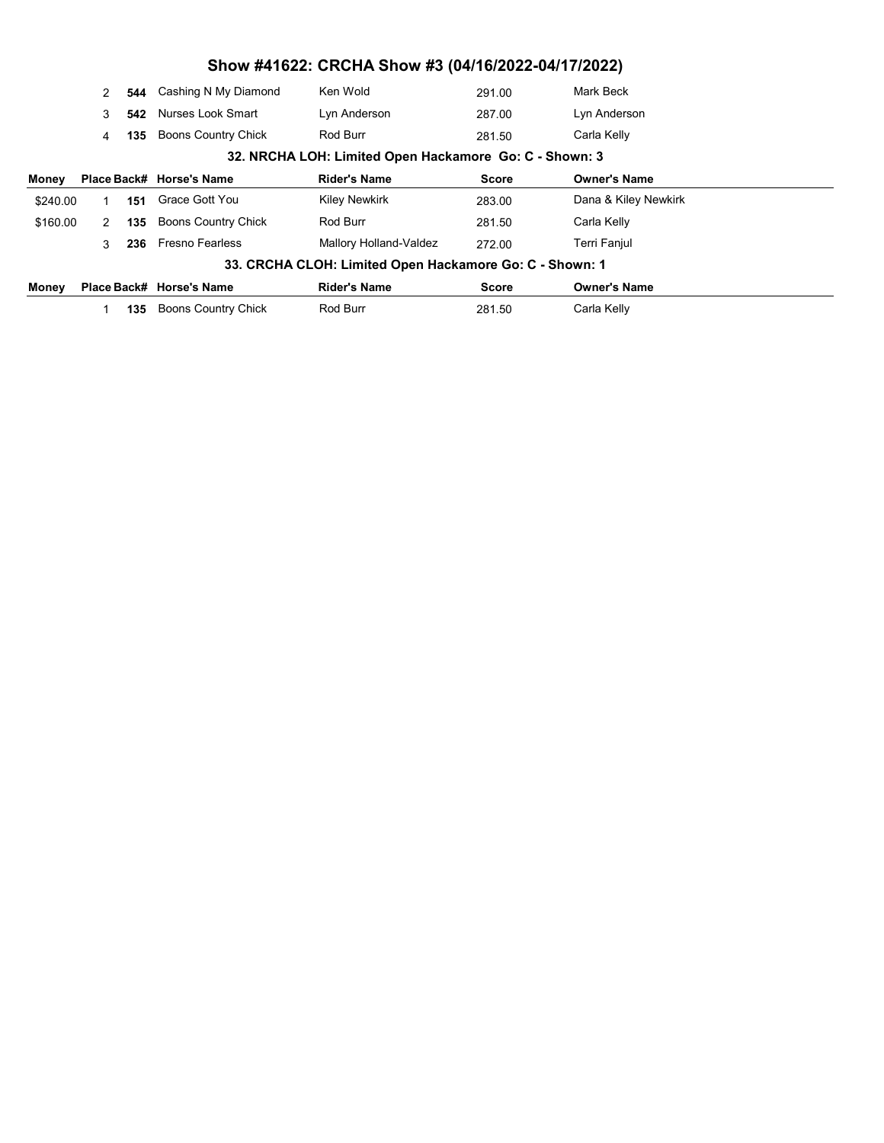|                                                         | 2             | 544 | Cashing N My Diamond       | Ken Wold               | 291.00       | Mark Beck            |  |  |
|---------------------------------------------------------|---------------|-----|----------------------------|------------------------|--------------|----------------------|--|--|
|                                                         | 3             | 542 | Nurses Look Smart          | Lyn Anderson           | 287.00       | Lyn Anderson         |  |  |
|                                                         | 4             | 135 | <b>Boons Country Chick</b> | Rod Burr               | 281.50       | Carla Kelly          |  |  |
| 32. NRCHA LOH: Limited Open Hackamore Go: C - Shown: 3  |               |     |                            |                        |              |                      |  |  |
| Money                                                   |               |     | Place Back# Horse's Name   | <b>Rider's Name</b>    | <b>Score</b> | <b>Owner's Name</b>  |  |  |
| \$240.00                                                |               | 151 | Grace Gott You             | <b>Kiley Newkirk</b>   | 283.00       | Dana & Kiley Newkirk |  |  |
| \$160.00                                                | $\mathcal{P}$ | 135 | <b>Boons Country Chick</b> | Rod Burr               | 281.50       | Carla Kelly          |  |  |
|                                                         | 3             | 236 | <b>Fresno Fearless</b>     | Mallory Holland-Valdez | 272.00       | Terri Fanjul         |  |  |
| 33. CRCHA CLOH: Limited Open Hackamore Go: C - Shown: 1 |               |     |                            |                        |              |                      |  |  |
| Money                                                   |               |     | Place Back# Horse's Name   | <b>Rider's Name</b>    | Score        | <b>Owner's Name</b>  |  |  |
|                                                         |               | 135 | <b>Boons Country Chick</b> | Rod Burr               | 281.50       | Carla Kelly          |  |  |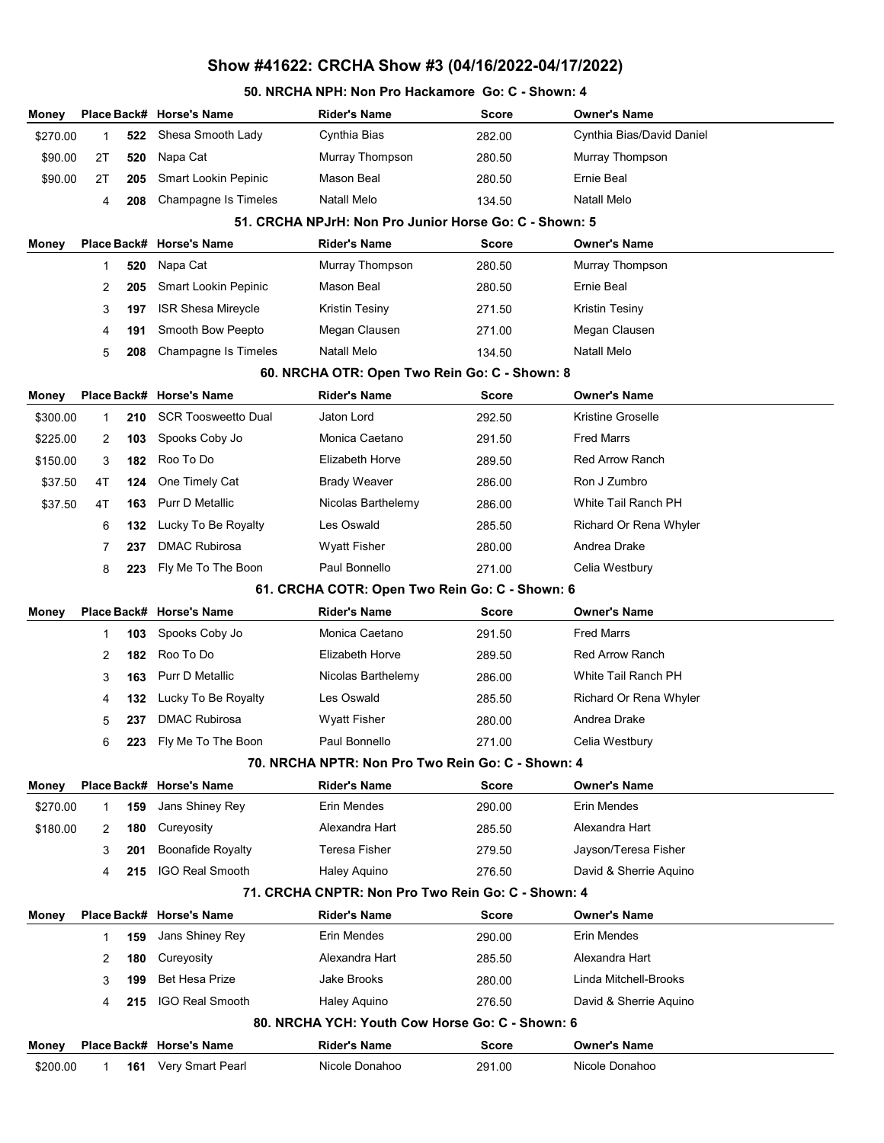#### 50. NRCHA NPH: Non Pro Hackamore Go: C - Shown: 4

| Money    |              |     | Place Back# Horse's Name                 | <b>Rider's Name</b>                                             | <b>Score</b> | <b>Owner's Name</b>                |
|----------|--------------|-----|------------------------------------------|-----------------------------------------------------------------|--------------|------------------------------------|
| \$270.00 | 1            | 522 | Shesa Smooth Lady                        | Cynthia Bias                                                    | 282.00       | Cynthia Bias/David Daniel          |
| \$90.00  | 2T           | 520 | Napa Cat                                 | Murray Thompson                                                 | 280.50       | Murray Thompson                    |
| \$90.00  | 2T           | 205 | Smart Lookin Pepinic                     | Mason Beal                                                      | 280.50       | Ernie Beal                         |
|          | 4            | 208 | Champagne Is Timeles                     | <b>Natall Melo</b>                                              | 134.50       | <b>Natall Melo</b>                 |
|          |              |     |                                          | 51. CRCHA NPJrH: Non Pro Junior Horse Go: C - Shown: 5          |              |                                    |
| Money    |              |     | Place Back# Horse's Name                 | <b>Rider's Name</b>                                             | <b>Score</b> | <b>Owner's Name</b>                |
|          | 1            | 520 | Napa Cat                                 | Murray Thompson                                                 | 280.50       | Murray Thompson                    |
|          | 2            | 205 | Smart Lookin Pepinic                     | Mason Beal                                                      | 280.50       | Ernie Beal                         |
|          | 3            | 197 | <b>ISR Shesa Mireycle</b>                | Kristin Tesiny                                                  | 271.50       | Kristin Tesiny                     |
|          | 4            | 191 | Smooth Bow Peepto                        | Megan Clausen                                                   | 271.00       | Megan Clausen                      |
|          | 5            | 208 | Champagne Is Timeles                     | <b>Natall Melo</b>                                              | 134.50       | Natall Melo                        |
|          |              |     |                                          | 60. NRCHA OTR: Open Two Rein Go: C - Shown: 8                   |              |                                    |
| Money    |              |     | Place Back# Horse's Name                 | <b>Rider's Name</b>                                             | <b>Score</b> | <b>Owner's Name</b>                |
| \$300.00 | 1            | 210 | <b>SCR Toosweetto Dual</b>               | Jaton Lord                                                      | 292.50       | Kristine Groselle                  |
| \$225.00 | 2            | 103 | Spooks Coby Jo                           | Monica Caetano                                                  | 291.50       | <b>Fred Marrs</b>                  |
| \$150.00 | 3            | 182 | Roo To Do                                | Elizabeth Horve                                                 | 289.50       | <b>Red Arrow Ranch</b>             |
| \$37.50  | 4T           | 124 | One Timely Cat                           | <b>Brady Weaver</b>                                             | 286.00       | Ron J Zumbro                       |
| \$37.50  | 4T           | 163 | <b>Purr D Metallic</b>                   | Nicolas Barthelemy                                              | 286.00       | White Tail Ranch PH                |
|          | 6            | 132 | Lucky To Be Royalty                      | Les Oswald                                                      | 285.50       | Richard Or Rena Whyler             |
|          | 7            | 237 | <b>DMAC Rubirosa</b>                     | <b>Wyatt Fisher</b>                                             | 280.00       | Andrea Drake                       |
|          | 8            | 223 | Fly Me To The Boon                       | Paul Bonnello                                                   | 271.00       | Celia Westbury                     |
|          |              |     |                                          | 61. CRCHA COTR: Open Two Rein Go: C - Shown: 6                  |              |                                    |
| Money    |              |     | Place Back# Horse's Name                 | <b>Rider's Name</b>                                             | <b>Score</b> | <b>Owner's Name</b>                |
|          | 1            | 103 | Spooks Coby Jo                           | Monica Caetano                                                  | 291.50       | <b>Fred Marrs</b>                  |
|          | 2            | 182 | Roo To Do                                | Elizabeth Horve                                                 | 289.50       | <b>Red Arrow Ranch</b>             |
|          | 3            | 163 | <b>Purr D Metallic</b>                   | Nicolas Barthelemy                                              | 286.00       | White Tail Ranch PH                |
|          | 4            | 132 | Lucky To Be Royalty                      | Les Oswald                                                      | 285.50       | Richard Or Rena Whyler             |
|          | 5            | 237 | <b>DMAC Rubirosa</b>                     | Wyatt Fisher                                                    | 280.00       | Andrea Drake                       |
|          | 6            | 223 | Fly Me To The Boon                       | Paul Bonnello                                                   | 271.00       | Celia Westbury                     |
|          |              |     |                                          | 70. NRCHA NPTR: Non Pro Two Rein Go: C - Shown: 4               |              |                                    |
| Money    |              |     | Place Back# Horse's Name                 | <b>Rider's Name</b>                                             | <b>Score</b> | <b>Owner's Name</b>                |
| \$270.00 | 1            | 159 | Jans Shiney Rey                          | Erin Mendes                                                     | 290.00       | Erin Mendes                        |
| \$180.00 | 2            | 180 | Cureyosity                               | Alexandra Hart                                                  | 285.50       | Alexandra Hart                     |
|          | 3            | 201 | <b>Boonafide Royalty</b>                 | Teresa Fisher                                                   | 279.50       | Jayson/Teresa Fisher               |
|          | 4            | 215 | <b>IGO Real Smooth</b>                   | <b>Haley Aquino</b>                                             | 276.50       | David & Sherrie Aquino             |
|          |              |     |                                          | 71. CRCHA CNPTR: Non Pro Two Rein Go: C - Shown: 4              |              |                                    |
| Money    |              |     | Place Back# Horse's Name                 | <b>Rider's Name</b><br>Erin Mendes                              | <b>Score</b> | <b>Owner's Name</b><br>Erin Mendes |
|          | $\mathbf{1}$ | 159 | Jans Shiney Rey                          | Alexandra Hart                                                  | 290.00       |                                    |
|          | 2            | 180 | Cureyosity                               |                                                                 | 285.50       | Alexandra Hart                     |
|          | 3            | 199 | <b>Bet Hesa Prize</b><br>IGO Real Smooth | Jake Brooks                                                     | 280.00       | Linda Mitchell-Brooks              |
|          | 4            | 215 |                                          | Haley Aquino<br>80. NRCHA YCH: Youth Cow Horse Go: C - Shown: 6 | 276.50       | David & Sherrie Aquino             |
|          |              |     | Place Back# Horse's Name                 | <b>Rider's Name</b>                                             |              | <b>Owner's Name</b>                |
| Money    |              |     | Very Smart Pearl                         | Nicole Donahoo                                                  | <b>Score</b> | Nicole Donahoo                     |
| \$200.00 | 1            | 161 |                                          |                                                                 | 291.00       |                                    |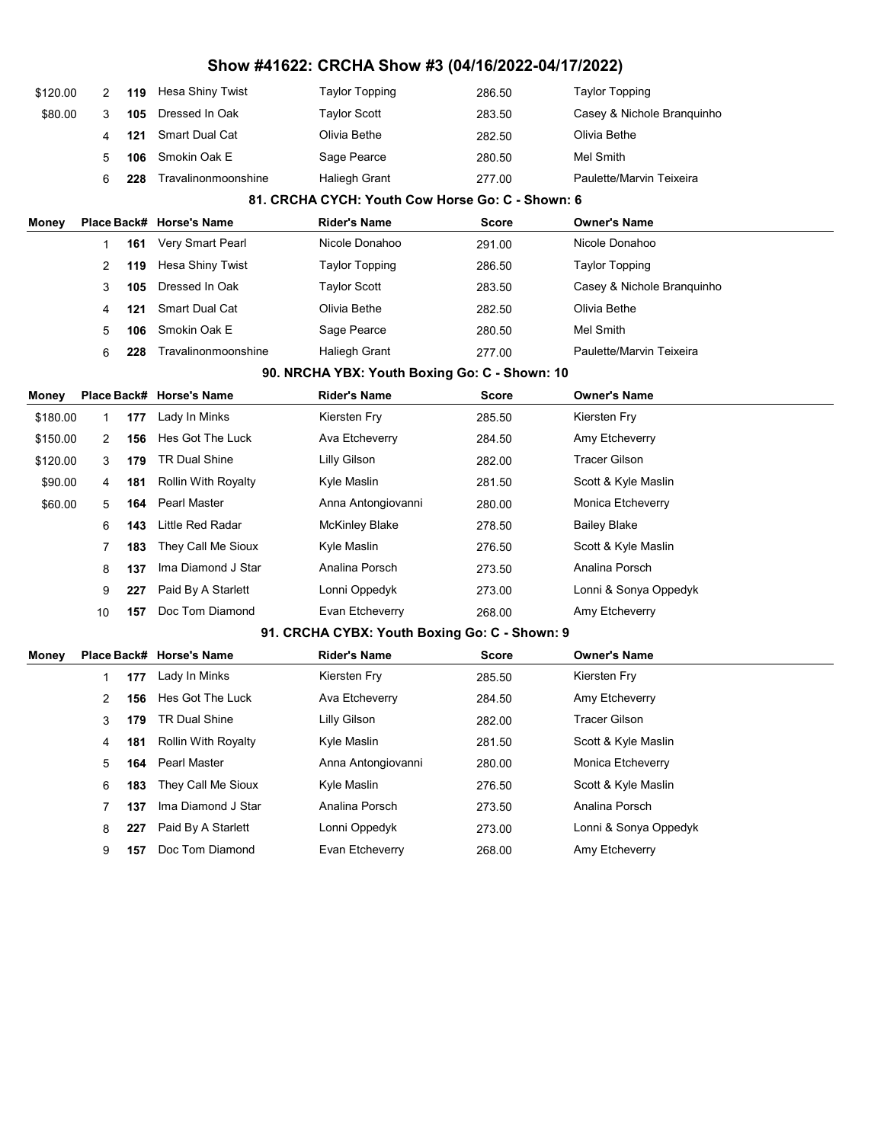| \$120.00 | 2  | 119 | Hesa Shiny Twist           | <b>Taylor Topping</b>                            | 286.50       | <b>Taylor Topping</b>      |  |
|----------|----|-----|----------------------------|--------------------------------------------------|--------------|----------------------------|--|
| \$80.00  | 3  | 105 | Dressed In Oak             | <b>Taylor Scott</b>                              | 283.50       | Casey & Nichole Branquinho |  |
|          | 4  | 121 | Smart Dual Cat             | Olivia Bethe                                     | 282.50       | Olivia Bethe               |  |
|          | 5  | 106 | Smokin Oak E               | Sage Pearce                                      | 280.50       | Mel Smith                  |  |
|          | 6  | 228 | Travalinonmoonshine        | <b>Haliegh Grant</b>                             | 277.00       | Paulette/Marvin Teixeira   |  |
|          |    |     |                            | 81. CRCHA CYCH: Youth Cow Horse Go: C - Shown: 6 |              |                            |  |
| Money    |    |     | Place Back# Horse's Name   | <b>Rider's Name</b>                              | Score        | <b>Owner's Name</b>        |  |
|          | 1  | 161 | Very Smart Pearl           | Nicole Donahoo                                   | 291.00       | Nicole Donahoo             |  |
|          | 2  | 119 | Hesa Shiny Twist           | <b>Taylor Topping</b>                            | 286.50       | <b>Taylor Topping</b>      |  |
|          | 3  | 105 | Dressed In Oak             | <b>Taylor Scott</b>                              | 283.50       | Casey & Nichole Branquinho |  |
|          | 4  | 121 | Smart Dual Cat             | Olivia Bethe                                     | 282.50       | Olivia Bethe               |  |
|          | 5  | 106 | Smokin Oak E               | Sage Pearce                                      | 280.50       | Mel Smith                  |  |
|          | 6  | 228 | Travalinonmoonshine        | Haliegh Grant                                    | 277.00       | Paulette/Marvin Teixeira   |  |
|          |    |     |                            | 90. NRCHA YBX: Youth Boxing Go: C - Shown: 10    |              |                            |  |
| Money    |    |     | Place Back# Horse's Name   | Rider's Name                                     | Score        | <b>Owner's Name</b>        |  |
| \$180.00 | 1  | 177 | Lady In Minks              | Kiersten Fry                                     | 285.50       | Kiersten Fry               |  |
| \$150.00 | 2  | 156 | Hes Got The Luck           | Ava Etcheverry                                   | 284.50       | Amy Etcheverry             |  |
| \$120.00 | 3  | 179 | <b>TR Dual Shine</b>       | <b>Lilly Gilson</b>                              | 282.00       | Tracer Gilson              |  |
| \$90.00  | 4  | 181 | <b>Rollin With Royalty</b> | Kyle Maslin                                      | 281.50       | Scott & Kyle Maslin        |  |
| \$60.00  | 5  | 164 | Pearl Master               | Anna Antongiovanni                               | 280.00       | Monica Etcheverry          |  |
|          | 6  | 143 | Little Red Radar           | <b>McKinley Blake</b>                            | 278.50       | <b>Bailey Blake</b>        |  |
|          | 7  | 183 | They Call Me Sioux         | Kyle Maslin                                      | 276.50       | Scott & Kyle Maslin        |  |
|          | 8  | 137 | Ima Diamond J Star         | Analina Porsch                                   | 273.50       | Analina Porsch             |  |
|          | 9  | 227 | Paid By A Starlett         | Lonni Oppedyk                                    | 273.00       | Lonni & Sonya Oppedyk      |  |
|          | 10 | 157 | Doc Tom Diamond            | Evan Etcheverry                                  | 268.00       | Amy Etcheverry             |  |
|          |    |     |                            | 91. CRCHA CYBX: Youth Boxing Go: C - Shown: 9    |              |                            |  |
| Money    |    |     | Place Back# Horse's Name   | <b>Rider's Name</b>                              | <b>Score</b> | <b>Owner's Name</b>        |  |
|          | 1  | 177 | Lady In Minks              | Kiersten Fry                                     | 285.50       | Kiersten Fry               |  |
|          | 2  | 156 | Hes Got The Luck           | Ava Etcheverry                                   | 284.50       | Amy Etcheverry             |  |
|          | 3  | 179 | <b>TR Dual Shine</b>       | Lilly Gilson                                     | 282.00       | <b>Tracer Gilson</b>       |  |
|          | 4  | 181 | Rollin With Royalty        | Kyle Maslin                                      | 281.50       | Scott & Kyle Maslin        |  |
|          | 5  | 164 | Pearl Master               | Anna Antongiovanni                               | 280.00       | Monica Etcheverry          |  |
|          | 6  | 183 | They Call Me Sioux         | Kyle Maslin                                      | 276.50       | Scott & Kyle Maslin        |  |
|          | 7  | 137 | Ima Diamond J Star         | Analina Porsch                                   | 273.50       | Analina Porsch             |  |
|          | 8  | 227 | Paid By A Starlett         | Lonni Oppedyk                                    | 273.00       | Lonni & Sonya Oppedyk      |  |
|          | 9  | 157 | Doc Tom Diamond            | Evan Etcheverry                                  | 268.00       | Amy Etcheverry             |  |